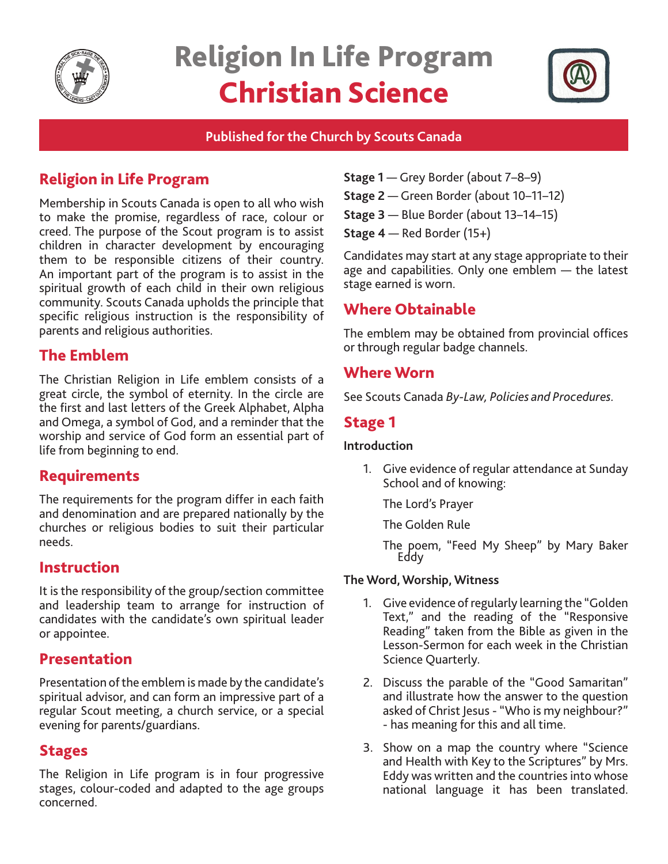

# Religion In Life Program Christian Science



## **Published for the Church by Scouts Canada**

# Religion in Life Program

Membership in Scouts Canada is open to all who wish to make the promise, regardless of race, colour or creed. The purpose of the Scout program is to assist children in character development by encouraging them to be responsible citizens of their country. An important part of the program is to assist in the spiritual growth of each child in their own religious community. Scouts Canada upholds the principle that specific religious instruction is the responsibility of parents and religious authorities.

# The Emblem

The Christian Religion in Life emblem consists of a great circle, the symbol of eternity. In the circle are the first and last letters of the Greek Alphabet, Alpha and Omega, a symbol of God, and a reminder that the worship and service of God form an essential part of life from beginning to end.

## Requirements

The requirements for the program differ in each faith and denomination and are prepared nationally by the churches or religious bodies to suit their particular needs.

## Instruction

It is the responsibility of the group/section committee and leadership team to arrange for instruction of candidates with the candidate's own spiritual leader or appointee.

## Presentation

Presentation of the emblem is made by the candidate's spiritual advisor, and can form an impressive part of a regular Scout meeting, a church service, or a special evening for parents/guardians.

## Stages

The Religion in Life program is in four progressive stages, colour-coded and adapted to the age groups concerned.

- **Stage 1** Grey Border (about 7–8–9)
- **Stage 2**  Green Border (about 10–11–12)
- **Stage 3** Blue Border (about 13–14–15)
- **Stage 4** Red Border (15+)

Candidates may start at any stage appropriate to their age and capabilities. Only one emblem — the latest stage earned is worn.

# Where Obtainable

The emblem may be obtained from provincial offices or through regular badge channels.

## Where Worn

See Scouts Canada *By-Law, Policies and Procedures.*

# Stage 1

#### **Introduction**

1. Give evidence of regular attendance at Sunday School and of knowing:

The Lord's Prayer

The Golden Rule

The poem, "Feed My Sheep" by Mary Baker Eddy

#### **The Word, Worship, Witness**

- 1. Give evidence of regularly learning the "Golden Text," and the reading of the "Responsive Reading" taken from the Bible as given in the Lesson-Sermon for each week in the Christian Science Quarterly.
- 2. Discuss the parable of the "Good Samaritan" and illustrate how the answer to the question asked of Christ Jesus - "Who is my neighbour?" - has meaning for this and all time.
- 3. Show on a map the country where "Science and Health with Key to the Scriptures" by Mrs. Eddy was written and the countries into whose national language it has been translated.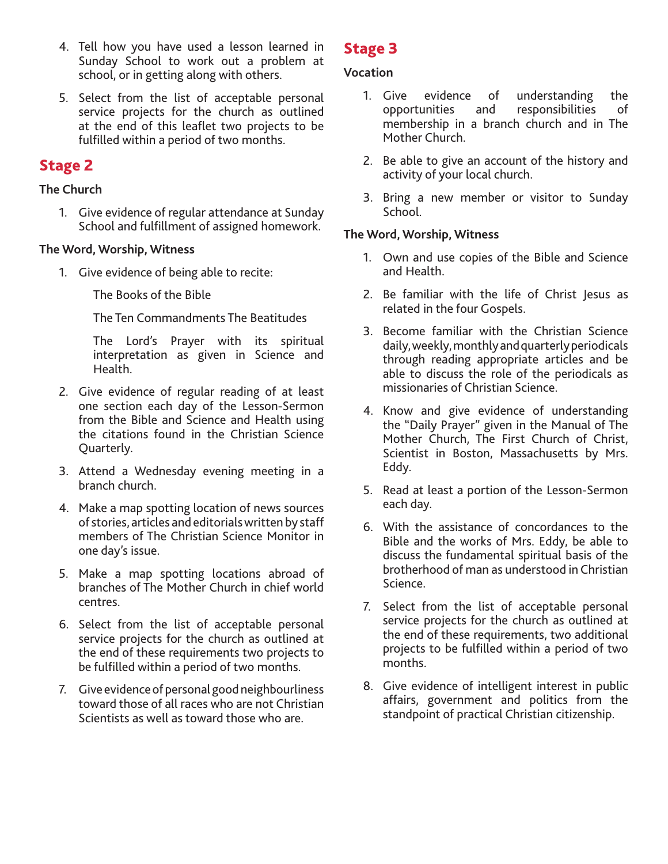- 4. Tell how you have used a lesson learned in Sunday School to work out a problem at school, or in getting along with others.
- 5. Select from the list of acceptable personal service projects for the church as outlined at the end of this leaflet two projects to be fulfilled within a period of two months.

# Stage 2

#### **The Church**

1. Give evidence of regular attendance at Sunday School and fulfillment of assigned homework.

#### **The Word, Worship, Witness**

1. Give evidence of being able to recite:

The Books of the Bible

The Ten Commandments The Beatitudes

The Lord's Prayer with its spiritual interpretation as given in Science and Health.

- 2. Give evidence of regular reading of at least one section each day of the Lesson-Sermon from the Bible and Science and Health using the citations found in the Christian Science Quarterly.
- 3. Attend a Wednesday evening meeting in a branch church.
- 4. Make a map spotting location of news sources of stories, articles and editorials written by staff members of The Christian Science Monitor in one day's issue.
- 5. Make a map spotting locations abroad of branches of The Mother Church in chief world centres.
- 6. Select from the list of acceptable personal service projects for the church as outlined at the end of these requirements two projects to be fulfilled within a period of two months.
- 7. Give evidence of personal good neighbourliness toward those of all races who are not Christian Scientists as well as toward those who are.

# Stage 3

#### **Vocation**

- 1. Give evidence of understanding the opportunities and responsibilities of membership in a branch church and in The Mother Church.
- 2. Be able to give an account of the history and activity of your local church.
- 3. Bring a new member or visitor to Sunday School.

#### **The Word, Worship, Witness**

- 1. Own and use copies of the Bible and Science and Health.
- 2. Be familiar with the life of Christ Jesus as related in the four Gospels.
- 3. Become familiar with the Christian Science daily, weekly, monthly and quarterly periodicals through reading appropriate articles and be able to discuss the role of the periodicals as missionaries of Christian Science.
- 4. Know and give evidence of understanding the "Daily Prayer" given in the Manual of The Mother Church, The First Church of Christ, Scientist in Boston, Massachusetts by Mrs. Eddy.
- 5. Read at least a portion of the Lesson-Sermon each day.
- 6. With the assistance of concordances to the Bible and the works of Mrs. Eddy, be able to discuss the fundamental spiritual basis of the brotherhood of man as understood in Christian Science.
- 7. Select from the list of acceptable personal service projects for the church as outlined at the end of these requirements, two additional projects to be fulfilled within a period of two months.
- 8. Give evidence of intelligent interest in public affairs, government and politics from the standpoint of practical Christian citizenship.